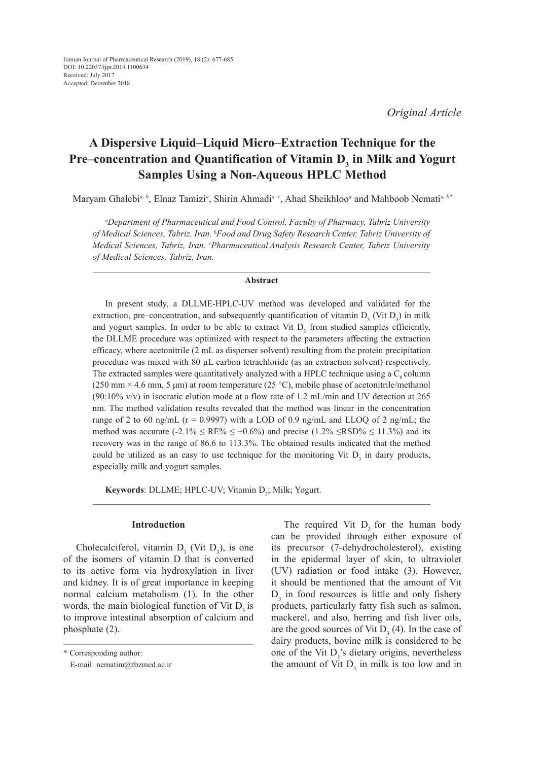*Original Article*

# **A Dispersive Liquid–Liquid Micro–Extraction Technique for the**  Pre–concentration and Quantification of Vitamin D<sub>3</sub> in Milk and Yogurt **Samples Using a Non-Aqueous HPLC Method**

Maryam Ghalebi*a, b*, Elnaz Tamizi*<sup>a</sup>* , Shirin Ahmadi*a, c*, Ahad Sheikhloo*<sup>a</sup>* and Mahboob Nemati*a, b\**

*a Department of Pharmaceutical and Food Control, Faculty of Pharmacy, Tabriz University of Medical Sciences, Tabriz, Iran. b Food and Drug Safety Research Center, Tabriz University of Medical Sciences, Tabriz, Iran. c Pharmaceutical Analysis Research Center, Tabriz University of Medical Sciences, Tabriz, Iran.*

# **Abstract**

In present study, a DLLME-HPLC-UV method was developed and validated for the extraction, pre–concentration, and subsequently quantification of vitamin  $D_3$  (Vit  $D_3$ ) in milk and yogurt samples. In order to be able to extract Vit  $D_3$  from studied samples efficiently, the DLLME procedure was optimized with respect to the parameters affecting the extraction efficacy, where acetonitrile (2 mL as disperser solvent) resulting from the protein precipitation procedure was mixed with 80 µL carbon tetrachloride (as an extraction solvent) respectively. The extracted samples were quantitatively analyzed with a HPLC technique using a  $C_{\rm s}$  column  $(250 \text{ mm} \times 4.6 \text{ mm}, 5 \text{ \mu m})$  at room temperature  $(25 \text{ °C})$ , mobile phase of acetonitrile/methanol (90:10% v/v) in isocratic elution mode at a flow rate of 1.2 mL/min and UV detection at 265 nm. The method validation results revealed that the method was linear in the concentration range of 2 to 60 ng/mL ( $r = 0.9997$ ) with a LOD of 0.9 ng/mL and LLOQ of 2 ng/mL; the method was accurate (-2.1%  $\leq$  RE%  $\leq$  +0.6%) and precise (1.2%  $\leq$ RSD%  $\leq$  11.3%) and its recovery was in the range of 86.6 to 113.3%. The obtained results indicated that the method could be utilized as an easy to use technique for the monitoring Vit  $D_3$  in dairy products, especially milk and yogurt samples.

Keywords: DLLME; HPLC-UV; Vitamin D<sub>3</sub>; Milk; Yogurt.

### **Introduction**

Cholecalciferol, vitamin  $D_3$  (Vit  $D_3$ ), is one of the isomers of vitamin D that is converted to its active form via hydroxylation in liver and kidney. It is of great importance in keeping normal calcium metabolism (1). In the other words, the main biological function of Vit  $D<sub>3</sub>$  is to improve intestinal absorption of calcium and phosphate (2).

The required Vit  $D_3$  for the human body can be provided through either exposure of its precursor (7-dehydrocholesterol), existing in the epidermal layer of skin, to ultraviolet (UV) radiation or food intake (3). However, it should be mentioned that the amount of Vit  $D_3$  in food resources is little and only fishery products, particularly fatty fish such as salmon, mackerel, and also, herring and fish liver oils, are the good sources of Vit  $D_3(4)$ . In the case of dairy products, bovine milk is considered to be one of the Vit  $D_3$ 's dietary origins, nevertheless the amount of Vit  $D_3$  in milk is too low and in

<sup>\*</sup> Corresponding author:

E-mail: nematim@tbzmed.ac.ir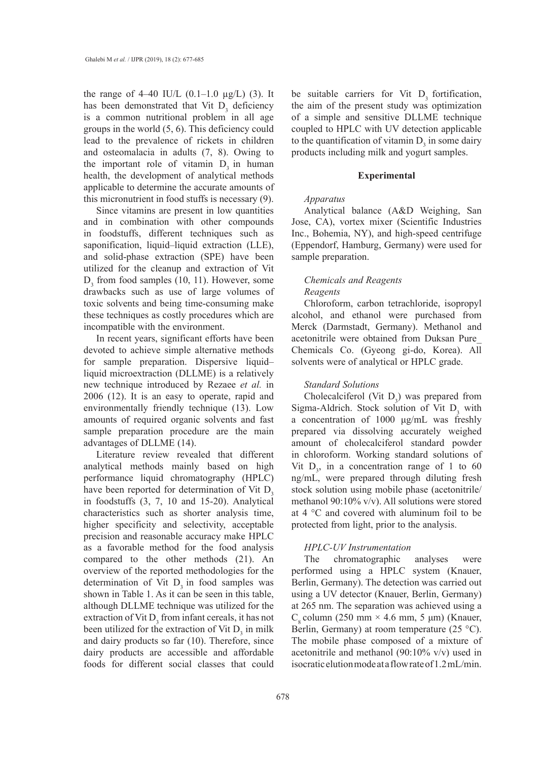the range of  $4-40$  IU/L  $(0.1-1.0 \mu g/L)$  (3). It has been demonstrated that Vit  $D_3$  deficiency is a common nutritional problem in all age groups in the world (5, 6). This deficiency could lead to the prevalence of rickets in children and osteomalacia in adults (7, 8). Owing to the important role of vitamin  $D_3$  in human health, the development of analytical methods applicable to determine the accurate amounts of this micronutrient in food stuffs is necessary (9).

Since vitamins are present in low quantities and in combination with other compounds in foodstuffs, different techniques such as saponification, liquid–liquid extraction (LLE), and solid-phase extraction (SPE) have been utilized for the cleanup and extraction of Vit  $D_3$  from food samples (10, 11). However, some drawbacks such as use of large volumes of toxic solvents and being time-consuming make these techniques as costly procedures which are incompatible with the environment.

In recent years, significant efforts have been devoted to achieve simple alternative methods for sample preparation. Dispersive liquid– liquid microextraction (DLLME) is a relatively new technique introduced by Rezaee *et al.* in 2006 (12). It is an easy to operate, rapid and environmentally friendly technique (13). Low amounts of required organic solvents and fast sample preparation procedure are the main advantages of DLLME (14).

Literature review revealed that different analytical methods mainly based on high performance liquid chromatography (HPLC) have been reported for determination of Vit  $D<sub>3</sub>$ in foodstuffs (3, 7, 10 and 15-20). Analytical characteristics such as shorter analysis time, higher specificity and selectivity, acceptable precision and reasonable accuracy make HPLC as a favorable method for the food analysis compared to the other methods (21). An overview of the reported methodologies for the determination of Vit  $D<sub>3</sub>$  in food samples was shown in Table 1. As it can be seen in this table, although DLLME technique was utilized for the extraction of Vit  $D_3$  from infant cereals, it has not been utilized for the extraction of Vit  $D_3$  in milk and dairy products so far (10). Therefore, since dairy products are accessible and affordable foods for different social classes that could

be suitable carriers for Vit  $D<sub>3</sub>$  fortification, the aim of the present study was optimization of a simple and sensitive DLLME technique coupled to HPLC with UV detection applicable to the quantification of vitamin  $D_3$  in some dairy products including milk and yogurt samples.

# **Experimental**

# *Apparatus*

Analytical balance (A&D Weighing, San Jose, CA), vortex mixer (Scientific Industries Inc., Bohemia, NY), and high-speed centrifuge (Eppendorf, Hamburg, Germany) were used for sample preparation.

# *Chemicals and Reagents Reagents*

Chloroform, carbon tetrachloride, isopropyl alcohol, and ethanol were purchased from Merck (Darmstadt, Germany). Methanol and acetonitrile were obtained from Duksan Pure\_ Chemicals Co. (Gyeong gi-do, Korea). All solvents were of analytical or HPLC grade.

# *Standard Solutions*

Cholecalciferol (Vit  $D_3$ ) was prepared from Sigma-Aldrich. Stock solution of Vit  $D_3$  with a concentration of 1000 μg/mL was freshly prepared via dissolving accurately weighed amount of cholecalciferol standard powder in chloroform. Working standard solutions of Vit  $D_3$ , in a concentration range of 1 to 60 ng/mL, were prepared through diluting fresh stock solution using mobile phase (acetonitrile/ methanol 90:10% v/v). All solutions were stored at 4 °C and covered with aluminum foil to be protected from light, prior to the analysis.

# *HPLC-UV Instrumentation*

The chromatographic analyses were performed using a HPLC system (Knauer, Berlin, Germany). The detection was carried out using a UV detector (Knauer, Berlin, Germany) at 265 nm. The separation was achieved using a C<sub>o</sub> column (250 mm × 4.6 mm, 5 μm) (Knauer, Berlin, Germany) at room temperature (25 °C). The mobile phase composed of a mixture of acetonitrile and methanol (90:10% v/v) used in isocratic elution mode at a flow rate of 1.2 mL/min.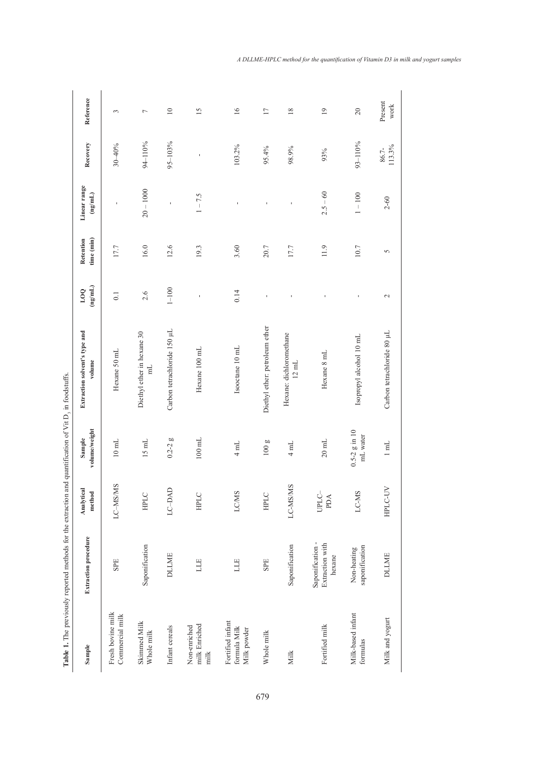| $\ddotsc$     |
|---------------|
| ì             |
| $\frac{1}{2}$ |
|               |
|               |
|               |
|               |
|               |
| í             |
|               |
|               |
|               |
|               |
|               |
|               |
|               |
|               |
|               |
|               |
|               |
|               |
|               |
|               |
|               |
|               |
|               |
|               |
|               |
| í             |
|               |
|               |
|               |
|               |
| I             |
| į             |
|               |
|               |
| lable         |
| I             |

|                                                 | Table 1. The previously reported methods for the extraction and quantification of Vit D <sub>3</sub> in foodstuffs. |                      |                               |                                              |                       |                         |                                 |                 |                 |
|-------------------------------------------------|---------------------------------------------------------------------------------------------------------------------|----------------------|-------------------------------|----------------------------------------------|-----------------------|-------------------------|---------------------------------|-----------------|-----------------|
| Sample                                          | <b>Extraction procedure</b>                                                                                         | Analytical<br>method | volume/weight<br>Sample       | Extraction solvent's type and<br>volume      | (mg/mL)<br><b>DOT</b> | time (min)<br>Retention | Linear range<br>$\pmb{(ng/ml)}$ | Recovery        | Reference       |
| Fresh bovine milk<br>Commercial milk            | SPE                                                                                                                 | LC-MS/MS             | $10 \text{ }\mathrm{mL}$      | Hexane 50 mL                                 | 0.1                   | 17.7                    | ı                               | $30 - 40%$      | 3               |
| Skimmed Milk<br>Whole milk                      | Saponification                                                                                                      | HPLC                 | $15$ mL                       | Diethyl ether in hexane 30<br>$\mathbb{H}$   | 2.6                   | 16.0                    | $20 - 1000$                     | 94-110%         | $\overline{ }$  |
| Infant cereals                                  | <b>DLLME</b>                                                                                                        | LC-DAD               | $0.2 - 2g$                    | Carbon tetrachloride 150 µL                  | $1 - 100$             | 12.6                    | ı                               | 95-103%         | $\overline{10}$ |
| milk Enriched<br>Non-enriched<br>milk           | LLE                                                                                                                 | HPLC                 | $100 \text{ mL}$              | Hexane 100 mL                                | $\mathbf{I}$          | 19.3                    | $1 - 7.5$                       | ı               | $\overline{15}$ |
| Fortified infant<br>formula Milk<br>Milk powder | LLE                                                                                                                 | <b>LC/MS</b>         | $4 \text{ mL}$                | Isooctane 10 mL                              | 0.14                  | 3.60                    | ï                               | 103.2%          | 16              |
| Whole milk                                      | SPE                                                                                                                 | HPLC                 | 100 <sub>g</sub>              | Diethyl ether: petroleum ether               | f,                    | 20.7                    | f,                              | 95.4%           | $\overline{17}$ |
| Milk                                            | Saponification                                                                                                      | LC-MS/MS             | 4 mL                          | Hexane: dichloromethane<br>$12\ \mathrm{mL}$ | ı                     | 17.7                    | ı                               | 98.9%           | 18              |
| Fortified milk                                  | Saponification -<br>Extraction with<br>hexane                                                                       | UPLC-<br>PDA         | $20\ \mathrm{mL}$             | Hexane 8 mL                                  | ı                     | 11.9                    | $2.5 - 60$                      | 93%             | $\overline{19}$ |
| Milk-based infant<br>formulas                   | saponification<br>Non-heating                                                                                       | LC-MS                | $0.5 - 2$ g in 10<br>mL water | Isopropyl alcohol 10 mL                      | ı                     | 10.7                    | $1 - 100$                       | 93-110%         | $20\,$          |
| Milk and yogurt                                 | <b>DLLME</b>                                                                                                        | HPLC-UV              | $1 \text{ mL}$                | Carbon tetrachloride 80 µL                   | $\mathbf{\sim}$       | 5                       | $2 - 60$                        | 113.3%<br>86.7- | Present<br>work |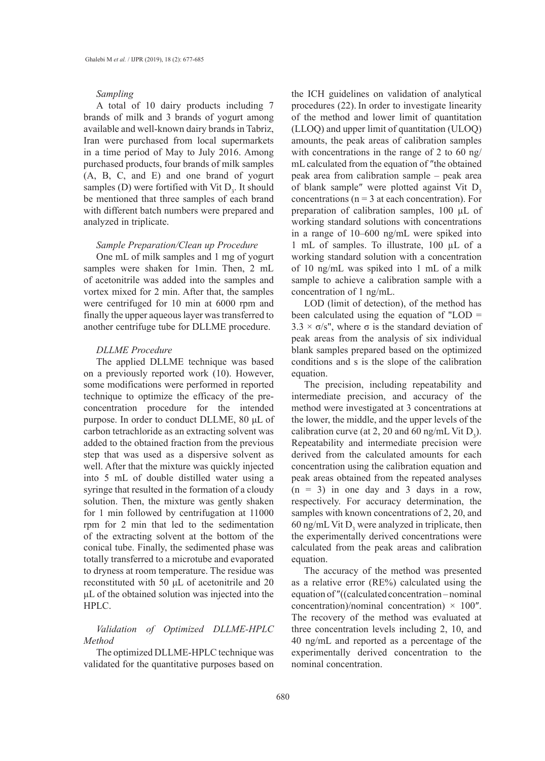### *Sampling*

A total of 10 dairy products including 7 brands of milk and 3 brands of yogurt among available and well-known dairy brands in Tabriz, Iran were purchased from local supermarkets in a time period of May to July 2016. Among purchased products, four brands of milk samples (A, B, C, and E) and one brand of yogurt samples (D) were fortified with Vit  $D_3$ . It should be mentioned that three samples of each brand with different batch numbers were prepared and analyzed in triplicate.

# *Sample Preparation/Clean up Procedure*

One mL of milk samples and 1 mg of yogurt samples were shaken for 1min. Then, 2 mL of acetonitrile was added into the samples and vortex mixed for 2 min. After that, the samples were centrifuged for 10 min at 6000 rpm and finally the upper aqueous layer was transferred to another centrifuge tube for DLLME procedure.

### *DLLME Procedure*

The applied DLLME technique was based on a previously reported work (10). However, some modifications were performed in reported technique to optimize the efficacy of the preconcentration procedure for the intended purpose. In order to conduct DLLME, 80 μL of carbon tetrachloride as an extracting solvent was added to the obtained fraction from the previous step that was used as a dispersive solvent as well. After that the mixture was quickly injected into 5 mL of double distilled water using a syringe that resulted in the formation of a cloudy solution. Then, the mixture was gently shaken for 1 min followed by centrifugation at 11000 rpm for 2 min that led to the sedimentation of the extracting solvent at the bottom of the conical tube. Finally, the sedimented phase was totally transferred to a microtube and evaporated to dryness at room temperature. The residue was reconstituted with 50 μL of acetonitrile and 20 μL of the obtained solution was injected into the HPLC.

# *Validation of Optimized DLLME-HPLC Method*

The optimized DLLME-HPLC technique was validated for the quantitative purposes based on

the ICH guidelines on validation of analytical procedures (22). In order to investigate linearity of the method and lower limit of quantitation (LLOQ) and upper limit of quantitation (ULOQ) amounts, the peak areas of calibration samples with concentrations in the range of 2 to 60 ng/ mL calculated from the equation of ″the obtained peak area from calibration sample – peak area of blank sample" were plotted against Vit  $D<sub>3</sub>$ concentrations ( $n = 3$  at each concentration). For preparation of calibration samples, 100 µL of working standard solutions with concentrations in a range of 10–600 ng/mL were spiked into 1 mL of samples. To illustrate, 100 µL of a working standard solution with a concentration of 10 ng/mL was spiked into 1 mL of a milk sample to achieve a calibration sample with a concentration of 1 ng/mL.

LOD (limit of detection), of the method has been calculated using the equation of "LOD =  $3.3 \times \sigma/s$ ", where  $\sigma$  is the standard deviation of peak areas from the analysis of six individual blank samples prepared based on the optimized conditions and s is the slope of the calibration equation.

The precision, including repeatability and intermediate precision, and accuracy of the method were investigated at 3 concentrations at the lower, the middle, and the upper levels of the calibration curve (at 2, 20 and 60 ng/mL Vit  $D_3$ ). Repeatability and intermediate precision were derived from the calculated amounts for each concentration using the calibration equation and peak areas obtained from the repeated analyses  $(n = 3)$  in one day and 3 days in a row, respectively. For accuracy determination, the samples with known concentrations of 2, 20, and 60 ng/mL Vit  $D_3$  were analyzed in triplicate, then the experimentally derived concentrations were calculated from the peak areas and calibration equation.

The accuracy of the method was presented as a relative error (RE%) calculated using the equation of ″((calculated concentration – nominal concentration)/nominal concentration)  $\times$  100". The recovery of the method was evaluated at three concentration levels including 2, 10, and 40 ng/mL and reported as a percentage of the experimentally derived concentration to the nominal concentration.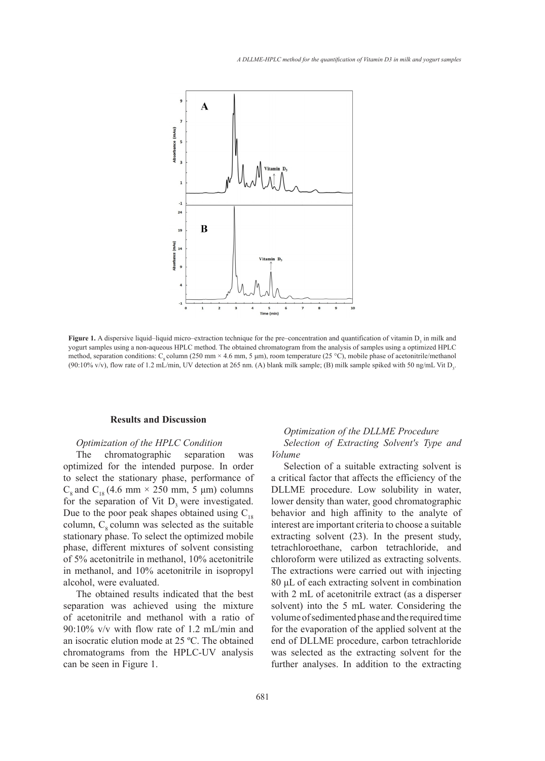

 $(90.10\% \text{ v/v})$ , flow rate of 1.2 mL/min, UV detection at 265 nm. (A) blank milk sample; (B) milk sample spiked with 50 ng/mL Vit D<sub>3</sub>. **Figure 1.** A dispersive liquid–liquid micro–extraction technique for the pre–concentration and quantification of vitamin D<sub>3</sub> in milk and yogurt samples using a non-aqueous HPLC method. The obtained chromatogram from the analysis of samples using a optimized HPLC method, separation conditions: C<sub>s</sub> column (250 mm × 4.6 mm, 5 µm), room temperature (25 °C), mobile phase of acetonitrile/methanol

#### **Results and Discussion** conditions: C8 column (250 mm  $\sim$  4.6 mm  $\sim$  4.6 mm  $\sim$  4.6 mm, 5  $\mu$  mm  $\sim$  5  $\mu$ ), mobile phase of  $\mu$

# *Optimization of the HPLC Condition*

The chromatographic separation was optimized for the intended purpose. In order to select the stationary phase, performance of  $C_8$  and  $C_{18}$  (4.6 mm × 250 mm, 5 µm) columns for the separation of Vit  $D_3$  were investigated. Due to the poor peak shapes obtained using  $C_{18}$ column,  $C_8$  column was selected as the suitable stationary phase. To select the optimized mobile phase, different mixtures of solvent consisting of 5% acetonitrile in methanol, 10% acetonitrile in methanol, and 10% acetonitrile in isopropyl alcohol, were evaluated.

The obtained results indicated that the best separation was achieved using the mixture of acetonitrile and methanol with a ratio of 90:10% v/v with flow rate of 1.2 mL/min and an isocratic elution mode at 25 ºC. The obtained chromatograms from the HPLC-UV analysis can be seen in Figure 1.

# *Optimization of the DLLME Procedure C* Condition **Selection** of Extracting Solvent's Type and *Volume*

separation was volume<br>I purpose. In order Selection of a suitable extracting solvent is a critical factor that affects the efficiency of the DLLME procedure. Low solubility in water, lower density than water, good chromatographic behavior and high affinity to the analyte of interest are important criteria to choose a suitable extracting solvent (23). In the present study, tetrachloroethane, carbon tetrachloride, and chloroform were utilized as extracting solvents. The extractions were carried out with injecting 80 μL of each extracting solvent in combination with 2 mL of acetonitrile extract (as a disperser solvent) into the 5 mL water. Considering the volume of sedimented phase and the required time for the evaporation of the applied solvent at the end of DLLME procedure, carbon tetrachloride was selected as the extracting solvent for the further analyses. In addition to the extracting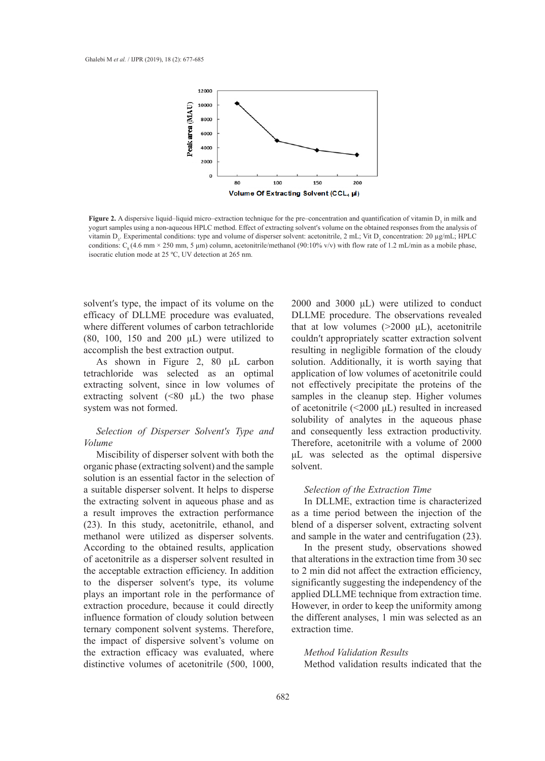

conditions: C<sub>8</sub>(4.6 mm × 250 mm, 5 µm) column, acetonitrile/methanol (90:10% v/v) with flow rate of 1.2 mL/min as a mobile phase,<br>isografia clution mode at 25.8C J W detastion at 265 mm **Figure 2.** A dispersive liquid–liquid micro–extraction technique for the pre–concentration and quantification of vitamin  $D_3$  in milk and yogurt samples using a non-aqueous HPLC method. Effect of extracting solvent′s volume on the obtained responses from the analysis of vitamin  $D_3$ . Experimental conditions: type and volume of disperser solvent: acetonitrile, 2 mL; Vit  $D_3$  concentration: 20 µg/mL; HPLC isocratic elution mode at 25 ºC, UV detection at 265 nm.

solvent′s type, the impact of its volume on the efficacy of DLLME procedure was evaluated, where different volumes of carbon tetrachloride (80, 100, 150 and 200  $\mu$ L) were utilized to accomplish the best extraction output.

As shown in Figure 2, 80 μL carbon tetrachloride was selected as an optimal application extracting solvent, since in low volumes of extracting solvent  $(\leq 80 \mu L)$  the two phase system was not formed.

# *Selection of Disperser Solvent′s Type and Volume*

Miscibility of disperser solvent with both the organic phase (extracting solvent) and the sample solution is an essential factor in the selection of a suitable disperser solvent. It helps to disperse the extracting solvent in aqueous phase and as a result improves the extraction performance (23). In this study, acetonitrile, ethanol, and methanol were utilized as disperser solvents. According to the obtained results, application of acetonitrile as a disperser solvent resulted in the acceptable extraction efficiency. In addition to the disperser solvent′s type, its volume plays an important role in the performance of extraction procedure, because it could directly influence formation of cloudy solution between ternary component solvent systems. Therefore, the impact of dispersive solvent's volume on the extraction efficacy was evaluated, where distinctive volumes of acetonitrile (500, 1000,

2000 and 3000 μL) were utilized to conduct procedure was evaluated, DLLME procedure. The observations revealed es of carbon tetrachloride that at low volumes  $(>2000 \mu L)$ , acetonitrile couldn′t appropriately scatter extraction solvent traction output. The resulting in negligible formation of the cloudy solution. Additionally, it is worth saying that application of low volumes of acetonitrile could not effectively precipitate the proteins of the samples in the cleanup step. Higher volumes of acetonitrile (<2000 μL) resulted in increased solubility of analytes in the aqueous phase and consequently less extraction productivity. Therefore, acetonitrile with a volume of 2000 μL was selected as the optimal dispersive solvent.

# *Selection of the Extraction Time*

In DLLME, extraction time is characterized as a time period between the injection of the blend of a disperser solvent, extracting solvent and sample in the water and centrifugation (23).

In the present study, observations showed that alterations in the extraction time from 30 sec to 2 min did not affect the extraction efficiency, significantly suggesting the independency of the applied DLLME technique from extraction time. However, in order to keep the uniformity among the different analyses, 1 min was selected as an extraction time.

# *Method Validation Results* Method validation results indicated that the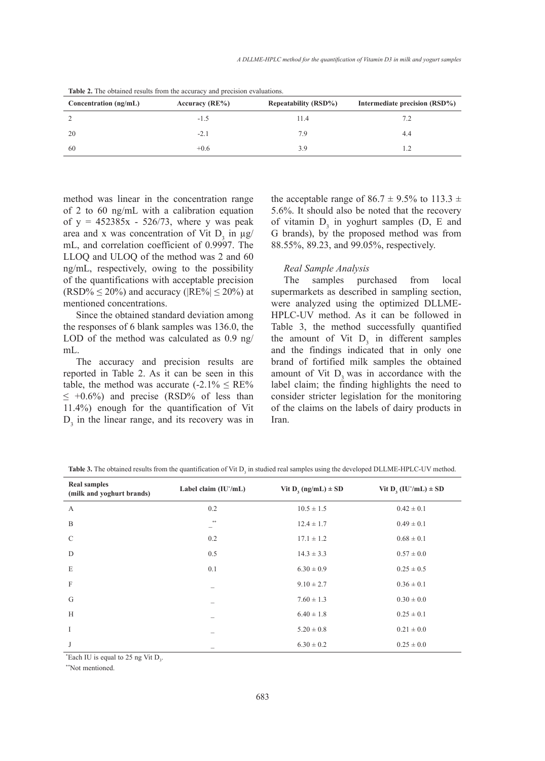| Concentration (ng/mL) | Accuracy $(RE\%)$ | <b>Repeatability (RSD%)</b> | Intermediate precision (RSD%) |
|-----------------------|-------------------|-----------------------------|-------------------------------|
|                       | $-1.5$            | 11.4                        | 7.2                           |
| 20                    | $-2.1$            | 7.9                         | 4.4                           |
| 60                    | $+0.6$            | 3.9                         |                               |

**Table 2.** The obtained results from the accuracy and precision evaluations.

method was linear in the concentration range of 2 to 60 ng/mL with a calibration equation of  $y = 452385x - 526/73$ , where y was peak area and x was concentration of Vit  $D_3$  in  $\mu$ g/ mL, and correlation coefficient of 0.9997. The LLOQ and ULOQ of the method was 2 and 60 ng/mL, respectively, owing to the possibility of the quantifications with acceptable precision  $(RSD\% \leq 20\%)$  and accuracy ( $|RE\%| \leq 20\%$ ) at mentioned concentrations.

Since the obtained standard deviation among the responses of 6 blank samples was 136.0, the LOD of the method was calculated as 0.9 ng/ mL.

The accuracy and precision results are reported in Table 2. As it can be seen in this table, the method was accurate  $(-2.1\% \leq RE\%)$  $\leq$  +0.6%) and precise (RSD% of less than 11.4%) enough for the quantification of Vit  $D_3$  in the linear range, and its recovery was in the acceptable range of 86.7  $\pm$  9.5% to 113.3  $\pm$ 5.6%. It should also be noted that the recovery of vitamin  $D_3$  in yoghurt samples (D, E and G brands), by the proposed method was from 88.55%, 89.23, and 99.05%, respectively.

# *Real Sample Analysis*

The samples purchased from local supermarkets as described in sampling section, were analyzed using the optimized DLLME-HPLC-UV method. As it can be followed in Table 3, the method successfully quantified the amount of Vit  $D_3$  in different samples and the findings indicated that in only one brand of fortified milk samples the obtained amount of Vit D, was in accordance with the label claim; the finding highlights the need to consider stricter legislation for the monitoring of the claims on the labels of dairy products in Iran.

| <b>Real samples</b><br>(milk and yoghurt brands) | Label claim $(IU*/mL)$   | Vit $D_3$ (ng/mL) $\pm$ SD | Vit $D_3 (IU^*/mL) \pm SD$ |
|--------------------------------------------------|--------------------------|----------------------------|----------------------------|
| A                                                | 0.2                      | $10.5 \pm 1.5$             | $0.42 \pm 0.1$             |
| B                                                | $**$                     | $12.4 \pm 1.7$             | $0.49 \pm 0.1$             |
| $\mathcal{C}$                                    | 0.2                      | $17.1 \pm 1.2$             | $0.68 \pm 0.1$             |
| D                                                | 0.5                      | $14.3 \pm 3.3$             | $0.57 \pm 0.0$             |
| E                                                | 0.1                      | $6.30 \pm 0.9$             | $0.25 \pm 0.5$             |
| $\mathbf F$                                      |                          | $9.10 \pm 2.7$             | $0.36 \pm 0.1$             |
| G                                                |                          | $7.60 \pm 1.3$             | $0.30 \pm 0.0$             |
| H                                                |                          | $6.40 \pm 1.8$             | $0.25 \pm 0.1$             |
| I                                                |                          | $5.20 \pm 0.8$             | $0.21 \pm 0.0$             |
| J                                                | $\overline{\phantom{a}}$ | $6.30 \pm 0.2$             | $0.25 \pm 0.0$             |

Table 3. The obtained results from the quantification of Vit D<sub>3</sub> in studied real samples using the developed DLLME-HPLC-UV method.

\*Each IU is equal to 25 ng Vit  $D_3$ .

\*\*Not mentioned.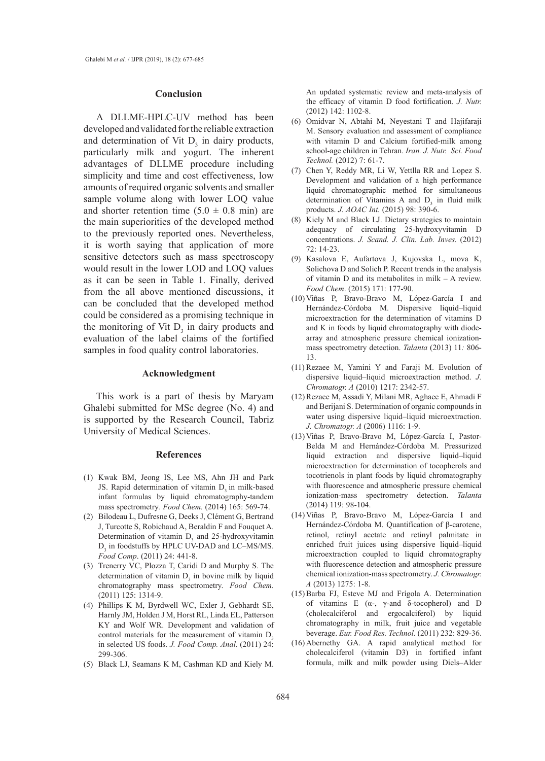### **Conclusion**

A DLLME-HPLC-UV method has been developed and validated for the reliable extraction and determination of Vit  $D_3$  in dairy products, particularly milk and yogurt. The inherent advantages of DLLME procedure including simplicity and time and cost effectiveness, low amounts of required organic solvents and smaller sample volume along with lower LOQ value and shorter retention time  $(5.0 \pm 0.8 \text{ min})$  are the main superiorities of the developed method to the previously reported ones. Nevertheless, it is worth saying that application of more sensitive detectors such as mass spectroscopy would result in the lower LOD and LOQ values as it can be seen in Table 1. Finally, derived from the all above mentioned discussions, it can be concluded that the developed method could be considered as a promising technique in the monitoring of Vit  $D_3$  in dairy products and evaluation of the label claims of the fortified samples in food quality control laboratories.

# **Acknowledgment**

This work is a part of thesis by Maryam Ghalebi submitted for MSc degree (No. 4) and is supported by the Research Council, Tabriz University of Medical Sciences.

### **References**

- (1) Kwak BM, Jeong IS, Lee MS, Ahn JH and Park JS. Rapid determination of vitamin D<sub>2</sub> in milk-based infant formulas by liquid chromatography-tandem mass spectrometry*. Food Chem.* (2014) 165: 569-74.
- Bilodeau L, Dufresne G, Deeks J, Clément G, Bertrand (2) J, Turcotte S, Robichaud A, Beraldin F and Fouquet A. Determination of vitamin  $D_3$  and 25-hydroxyvitamin  $D_3$  in foodstuffs by HPLC UV-DAD and LC–MS/MS. *Food Comp*. (2011) 24: 441-8.
- (3) Trenerry VC, Plozza T, Caridi D and Murphy S. The determination of vitamin  $D_3$  in bovine milk by liquid chromatography mass spectrometry. *Food Chem.*  (2011) 125: 1314-9.
- Phillips K M, Byrdwell WC, Exler J, Gebhardt SE, (4) Harnly JM, Holden J M, Horst RL, Linda EL, Patterson KY and Wolf WR. Development and validation of control materials for the measurement of vitamin  $D<sub>3</sub>$ in selected US foods. *J. Food Comp. Anal*. (2011) 24: 299-306.
- Black LJ, Seamans K M, Cashman KD and Kiely M. (5)

An updated systematic review and meta-analysis of the efficacy of vitamin D food fortification. *J. Nutr.* (2012) 142: 1102-8.

- (6) Omidvar N, Abtahi M, Neyestani T and Hajifaraji M. Sensory evaluation and assessment of compliance with vitamin D and Calcium fortified-milk among school-age children in Tehran. *Iran. J. Nutr. Sci. Food Technol.* (2012) 7: 61-7.
- (7) Chen Y, Reddy MR, Li W, Yettlla RR and Lopez S. Development and validation of a high performance liquid chromatographic method for simultaneous determination of Vitamins A and  $D_3$  in fluid milk products. *J. AOAC Int.* (2015) 98: 390-6.
- (8) Kiely M and Black LJ. Dietary strategies to maintain adequacy of circulating 25-hydroxyvitamin D concentrations. *J. Scand. J. Clin. Lab. Inves.* (2012) 72: 14-23.
- Kasalova E, Aufartova J, Kujovska L, mova K, (9) Solichova D and Solich P. Recent trends in the analysis of vitamin D and its metabolites in milk – A review. *Food Chem*. (2015) 171: 177-90.
- Viñas P, Bravo-Bravo M, López-García I and (10) Hernández-Córdoba M. Dispersive liquid–liquid microextraction for the determination of vitamins D and K in foods by liquid chromatography with diodearray and atmospheric pressure chemical ionizationmass spectrometry detection. *Talanta* (2013) 11*:* 806- 13.
- $(11)$  Rezaee M, Yamini Y and Faraji M. Evolution of dispersive liquid–liquid microextraction method. *J. Chromatogr. A* (2010) 1217: 2342-57.
- (12) Rezaee M, Assadi Y, Milani MR, Aghaee E, Ahmadi F and Berijani S. Determination of organic compounds in water using dispersive liquid–liquid microextraction. *J. Chromatogr. A* (2006) 1116: 1-9.
- Viñas P, Bravo-Bravo M, López-García I, Pastor-(13) Belda M and Hernández-Córdoba M. Pressurized liquid extraction and dispersive liquid–liquid microextraction for determination of tocopherols and tocotrienols in plant foods by liquid chromatography with fluorescence and atmospheric pressure chemical ionization-mass spectrometry detection. *Talanta* (2014) 119: 98-104.
- Viñas P, Bravo-Bravo M, López-García I and (14) Hernández-Córdoba M. Quantification of β-carotene, retinol, retinyl acetate and retinyl palmitate in enriched fruit juices using dispersive liquid–liquid microextraction coupled to liquid chromatography with fluorescence detection and atmospheric pressure chemical ionization-mass spectrometry. *J. Chromatogr. A* (2013) 1275: 1-8.
- (15) Barba FJ, Esteve MJ and Frígola A. Determination of vitamins E (α-, γ-and δ-tocopherol) and D (cholecalciferol and ergocalciferol) by liquid chromatography in milk, fruit juice and vegetable beverage. *Eur. Food Res. Technol.* (2011) 232: 829-36.
- $(16)$  Abernethy GA. A rapid analytical method for cholecalciferol (vitamin D3) in fortified infant formula, milk and milk powder using Diels–Alder